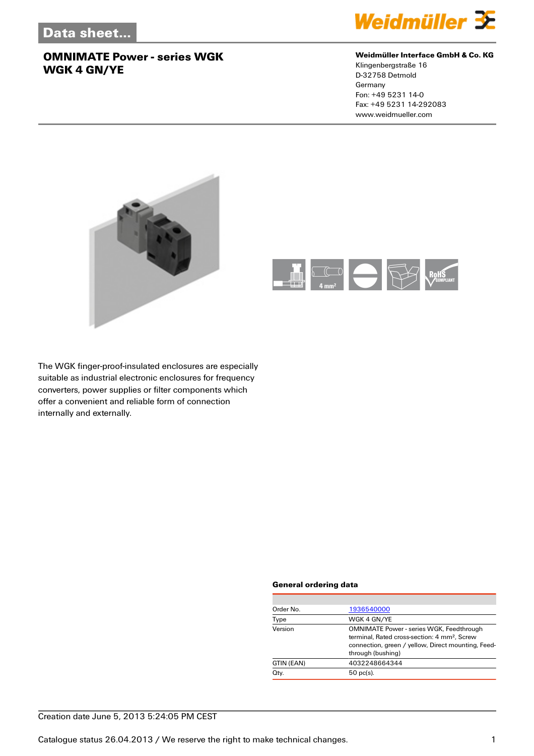

#### **Weidmüller Interface GmbH & Co. KG**

Klingenbergstraße 16 D-32758 Detmold Germany Fon: +49 5231 14-0 Fax: +49 5231 14-292083 www.weidmueller.com





The WGK finger-proof-insulated enclosures are especially suitable as industrial electronic enclosures for frequency converters, power supplies or filter components which offer a convenient and reliable form of connection internally and externally.

#### **General ordering data**

| Order No.  | 1936540000                                                                                                                                                                             |
|------------|----------------------------------------------------------------------------------------------------------------------------------------------------------------------------------------|
| Type       | WGK 4 GN/YE                                                                                                                                                                            |
| Version    | <b>OMNIMATE Power - series WGK, Feedthrough</b><br>terminal. Rated cross-section: 4 mm <sup>2</sup> . Screw<br>connection, green / yellow, Direct mounting, Feed-<br>through (bushing) |
| GTIN (EAN) | 4032248664344                                                                                                                                                                          |
| Qty.       | $50$ pc(s).                                                                                                                                                                            |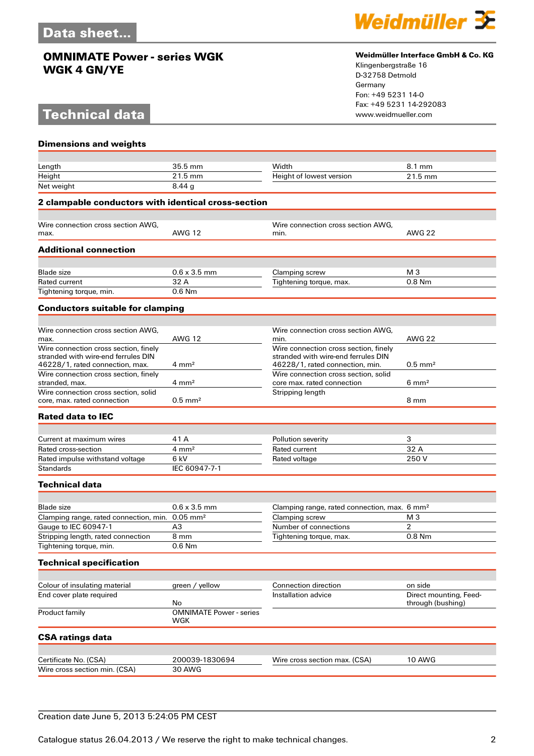# **Technical data**



#### **Weidmüller Interface GmbH & Co. KG**

Klingenbergstraße 16 D-32758 Detmold Germany Fon: +49 5231 14-0 Fax: +49 5231 14-292083

| <b>Dimensions and weights</b>                                                                                   |                                       |                                                                                                                 |                                             |
|-----------------------------------------------------------------------------------------------------------------|---------------------------------------|-----------------------------------------------------------------------------------------------------------------|---------------------------------------------|
|                                                                                                                 |                                       |                                                                                                                 |                                             |
| Length                                                                                                          | 35.5 mm                               | Width                                                                                                           | 8.1 mm                                      |
| Height                                                                                                          | 21.5 mm                               | Height of lowest version                                                                                        | 21.5 mm                                     |
| Net weight                                                                                                      | 8.44g                                 |                                                                                                                 |                                             |
| 2 clampable conductors with identical cross-section                                                             |                                       |                                                                                                                 |                                             |
| Wire connection cross section AWG.                                                                              |                                       | Wire connection cross section AWG,                                                                              |                                             |
| max.                                                                                                            | <b>AWG 12</b>                         | min.                                                                                                            | <b>AWG 22</b>                               |
| <b>Additional connection</b>                                                                                    |                                       |                                                                                                                 |                                             |
| <b>Blade size</b>                                                                                               | $0.6 \times 3.5$ mm                   | Clamping screw                                                                                                  | M <sub>3</sub>                              |
| <b>Rated current</b>                                                                                            | 32 A                                  | Tightening torque, max.                                                                                         | 0.8 Nm                                      |
| Tightening torque, min.                                                                                         | $0.6$ Nm                              |                                                                                                                 |                                             |
| <b>Conductors suitable for clamping</b>                                                                         |                                       |                                                                                                                 |                                             |
|                                                                                                                 |                                       |                                                                                                                 |                                             |
| Wire connection cross section AWG.<br>max.                                                                      | <b>AWG 12</b>                         | Wire connection cross section AWG,<br>min.                                                                      | <b>AWG 22</b>                               |
| Wire connection cross section, finely<br>stranded with wire-end ferrules DIN<br>46228/1, rated connection, max. | $4 \text{ mm}^2$                      | Wire connection cross section, finely<br>stranded with wire-end ferrules DIN<br>46228/1, rated connection, min. | $0.5$ mm <sup>2</sup>                       |
| Wire connection cross section, finely<br>stranded, max.                                                         | $4 \text{ mm}^2$                      | Wire connection cross section, solid<br>core max. rated connection                                              | $6 \text{ mm}^2$                            |
| Wire connection cross section, solid<br>core, max, rated connection                                             | $0.5$ mm <sup>2</sup>                 | Stripping length                                                                                                | 8 mm                                        |
| <b>Rated data to IEC</b>                                                                                        |                                       |                                                                                                                 |                                             |
|                                                                                                                 |                                       |                                                                                                                 |                                             |
| Current at maximum wires<br>Rated cross-section                                                                 | 41 A<br>$4 \, \text{mm}^2$            | Pollution severity<br>Rated current                                                                             | 3<br>32 A                                   |
| Rated impulse withstand voltage                                                                                 | 6 kV                                  | Rated voltage                                                                                                   | 250V                                        |
| <b>Standards</b>                                                                                                | IEC 60947-7-1                         |                                                                                                                 |                                             |
| <b>Technical data</b>                                                                                           |                                       |                                                                                                                 |                                             |
|                                                                                                                 |                                       |                                                                                                                 |                                             |
| <b>Blade size</b>                                                                                               | $0.6 \times 3.5$ mm                   | Clamping range, rated connection, max. 6 mm <sup>2</sup>                                                        |                                             |
| Clamping range, rated connection, min. 0.05 mm <sup>2</sup>                                                     |                                       | Clamping screw                                                                                                  | M <sub>3</sub>                              |
| Gauge to IEC 60947-1                                                                                            | A3                                    | Number of connections                                                                                           | 2                                           |
| Stripping length, rated connection                                                                              | 8 mm                                  | Tightening torque, max.                                                                                         | 0.8 Nm                                      |
| Tightening torque, min.                                                                                         | 0.6 Nm                                |                                                                                                                 |                                             |
| <b>Technical specification</b>                                                                                  |                                       |                                                                                                                 |                                             |
| Colour of insulating material                                                                                   | green / yellow                        | Connection direction                                                                                            | on side                                     |
| End cover plate required                                                                                        | No                                    | Installation advice                                                                                             | Direct mounting, Feed-<br>through (bushing) |
| Product family                                                                                                  | <b>OMNIMATE Power - series</b><br>WGK |                                                                                                                 |                                             |
| <b>CSA ratings data</b>                                                                                         |                                       |                                                                                                                 |                                             |
|                                                                                                                 |                                       |                                                                                                                 |                                             |
| Certificate No. (CSA)                                                                                           | 200039-1830694                        | Wire cross section max. (CSA)                                                                                   | <b>10 AWG</b>                               |
| Wire cross section min. (CSA)                                                                                   | <b>30 AWG</b>                         |                                                                                                                 |                                             |

### Creation date June 5, 2013 5:24:05 PM CEST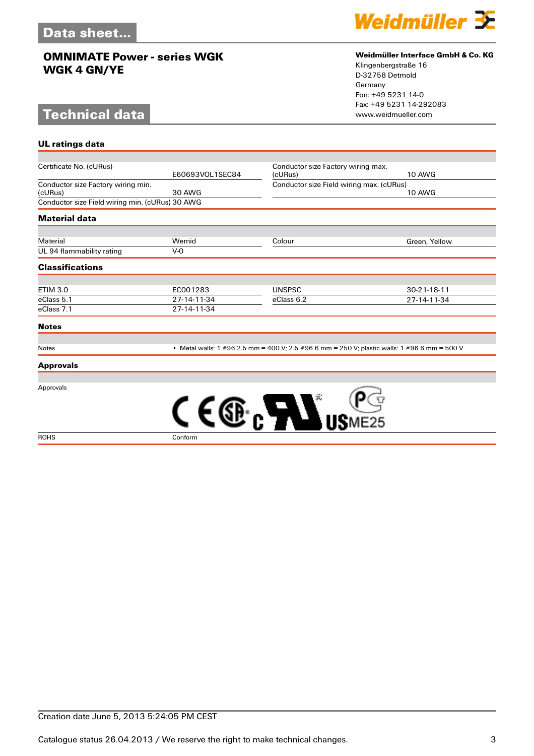# **Technical data**

**UL ratings data**



#### **Weidmüller Interface GmbH & Co. KG**

Klingenbergstraße 16 D-32758 Detmold Germany Fon: +49 5231 14-0 Fax: +49 5231 14-292083

| Certificate No. (cURus)                         |                 | Conductor size Factory wiring max.       |                                                                                              |
|-------------------------------------------------|-----------------|------------------------------------------|----------------------------------------------------------------------------------------------|
|                                                 | E60693VOL1SEC84 | (cURus)                                  | <b>10 AWG</b>                                                                                |
| Conductor size Factory wiring min.              |                 | Conductor size Field wiring max. (cURus) |                                                                                              |
| (cURus)                                         | 30 AWG          |                                          | <b>10 AWG</b>                                                                                |
| Conductor size Field wiring min. (cURus) 30 AWG |                 |                                          |                                                                                              |
| <b>Material data</b>                            |                 |                                          |                                                                                              |
|                                                 |                 |                                          |                                                                                              |
| Material                                        | Wemid           | Colour                                   | Green, Yellow                                                                                |
| UL 94 flammability rating                       | $V-0$           |                                          |                                                                                              |
| <b>Classifications</b>                          |                 |                                          |                                                                                              |
| <b>ETIM 3.0</b>                                 | EC001283        | <b>UNSPSC</b>                            | 30-21-18-11                                                                                  |
| eClass 5.1                                      | 27-14-11-34     | eClass 6.2                               | 27-14-11-34                                                                                  |
| eClass 7.1                                      | 27-14-11-34     |                                          |                                                                                              |
| <b>Notes</b>                                    |                 |                                          |                                                                                              |
|                                                 |                 |                                          |                                                                                              |
| <b>Notes</b>                                    |                 |                                          | • Metal walls: 1 #96 2.5 mm = 400 V; 2.5 #96 6 mm = 250 V; plastic walls: 1 #96 6 mm = 500 V |

#### **Approvals**

Approvals